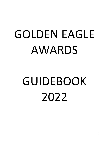# GOLDEN EAGLE AWARDS

# GUIDEBOOK 2022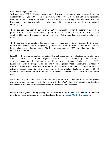# Dear Golden Eagle Coordinator,

Welcome to the 2022 Golden Eagle Awards. We look forward to working with educators and students across Middle Georgia on this iconic program, now in its 45<sup>th</sup> year. The Golden Eagle award program celebrates exceptional high school seniors for academic excellence, exemplary service and outstanding leadership — students whose volunteerism has impacted their school and community in profound and enduring ways.

The Golden Eagle has been the symbol of *The Telegraph* since 1856 when the brother-in-law of then publisher Joseph Clisby gifted him with a grand 4-foot cast pewter statue with a 92-inch wingspan weighing 691 pounds. The legendary statue has anchored *Telegraph* offices in Macon throughout the decades.

The Golden Eagle Awards return this year for the 45<sup>th</sup> annual year in Central Georgia, the third year under United Way of Central Georgia's wing. United Way of Central Georgia took the reins of the longstanding scholarship program after The Telegraph announced in 2020 it would no longer be able to continue the tradition.

Since 1977, the awards have celebrated outstanding high school seniors in 14 categories including: Art, Athletics, Citizenship, Drama, English Literature, Career/Technical/Agricultural (CTAE), Journalism/Marketing & Communication, Math, Music, Science, Social Science, ROTC (Superintendent's Scholarship), Technology and World Languages. Those seniors were nominated by their schools and then judged by local experts in their category of nomination. The winner in each category receives recognition at an annual award show, a Golden Eagle trophy, and a \$2,000 scholarship. Historically, another 14 runners-up are selected, who each receive a certificate and \$1,000 prize.

We appreciate your school's participation and are grateful for your time and effort as you quickly choose your nominees and navigate the process with them. We're hoping for sweeping participation regionwide, public and private school students, as well those home-schooled.

**Please read this guide carefully, paying special attention to the Golden Eagle calendar. If you have questions or need assistance, please contact JoLee Henson at [jhenson@unitedwaycg.com](mailto:jhenson@unitedwaycg.com) .**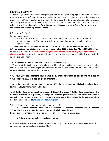#### **PROGRAM OVERVIEW**

A Golden Eagle Award is one of the most prestigious prizes for a graduating high school senior in Middle Georgia. Now in its 45<sup>th</sup> year, the program celebrates service, scholarship, and leadership. There is a proud legacy of Golden Eagle Award winners who have used their time and talent to make significant and lasting contributions to their respective schools and communities. The nomination process culminates with the **Golden Eagle Award Ceremony at Macon's historic Grand Opera House** where the winners and runners-up are announced.

# Information for 2022

- 1. Nomination form:
	- a. Nominees WILL attach their formal senior yearbook photo to their nomination form.
	- b. Nominees WILL NOT include their social security number. Winners' numbers will be obtained later.
- **2. The nomination process begins on Monday, January 10th and ends on Friday, February 11th .**

3. **You must interview via Zoom on Saturday, March 12th, 2022 or Saturday, March 19th, 2022.** The interview is mandatory. **The date will be assigned to you based on your category and you may not choose your date**. Missing the interview disqualifies you from placing, but you will still be recognized as a Golden Eagle nominee.

# **TIPS & INFORMATION FOR GOLDEN EAGLE COORDINATORS**

1. Typically, at the beginning of each school year high school principals and counselors in the eightcounty Golden Eagle Award region are contacted to provide the name and email of their school's designated Golden Eagle Awards coordinator.

# **\*\* 2. ASAP, please submit the full name, title, email address and cell phone number of your school's 2022 Golden Eagle coordinator.**

**3. Once the nomination period opens on January 10th , the coordinator should check email regularly for Golden Eagle information and updates.** 

**4. All Golden Eagle communication is handled through the schools' Golden Eagle coordinator. If a nominee or parent has a question, challenge, or a concern, please instruct them to contact you and you will contact United Way of Central Georgia. We are available to help and offer guidance when needed: JoLee Henson at [jhenson@unitedwaycg.com](mailto:jhenson@unitedwaycg.com) .** 

5. Please impress upon your nominees the importance of:

**a. Meeting the submission deadline.** All nominations are dated and time stamped. **On February 11th at 5:00 p.m. the nomination process automatically locks and closes.** No additional nomination forms will be accepted after that time. No exceptions.

# **b. Being present for an interview is mandatory.**

6. You will receive the interview schedule and further instructions after the nomination period ends and the interview schedules are created, ASAP.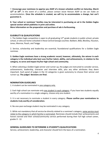7. **Encourage your nominees to apprise you ASAP of a known schedule conflict on Saturday, March**  12<sup>th</sup> or 19<sup>th</sup>. In the event of a conflict, please contact JoLee Henson ASAP so we can make an accommodation. **Once the schedule is created, we will try to accommodate a change, but can't guarantee it.** 

**8. Your school or nominees' families may be interested in purchasing an ad in the Golden Eagles special section which publishes in print and online.**

**More information on the preparation and purchase of ads is forthcoming.** 

# **ELIGIBILITY & QUALIFICATIONS**

1. The Golden Eagle competition is open to all graduating 12<sup>th</sup>-grade students in public school, private school, or who are home-schooled in these Central Georgia counties: Baldwin, Bibb, Bleckley, Houston, Jones, Monroe, Peach, and Twiggs

2. Service, scholarship and leadership are essential, foundational qualifications for a Golden Eagle nominee.

**3. Golden Eagle nominees have a strong academic record, however, ultimately, the winner in each category is the individual who best uses his/her talent, ability, and achievements, in relation to the category, to serve and impact his/her high school and community.** 

4. When selecting a Golden Eagle winner and runner-up, the judges are instructed to consider service, achievements, leadership, character and interview skills, plus any other attributes they deem important. Each panel of judges in the 14 categories is given autonomy to choose their winner and runner-up. **The judges' decisions are final.** 

#### **NOMINATION GUIDELINES**

1. A student can be nominated in one category only.

2. Each high school can nominate only one student in each category. If you have two students equally worthy of a nomination in a single category, choose only one student.

3. It is not necessary to nominate a student in every category. **Please confine your nominations to students truly worthy of consideration.**

4. No one-year exchange student may be nominated in any category.

5. While not mandatory that all service be directly related to a nominee's category, some service must relate to the category in which he/she is nominated. Nominees should include their achievements and honors earned and their school/community service performed during their full high school career, grades 9 - 12.

# **GENERAL GUIDELINES TO DETERMINE A STUDENT'S QUALIFICATIONS**

Service, achievement, leadership, and character should form the basis of a nomination.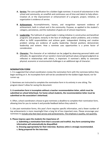- **A. Service:** The core qualification for a Golden Eagle nominee. A record of volunteerism in the school and community, an unselfish and continuous use of time and talent to help others. Creation of, or the improvement or enhancement of a program, project, initiative, or organization is evidence of service.
- **B. Achievement**: Accomplishments, honors, and recognition represent evidence of achievement, both in school and in the community. Purpose, as applied to the student's category, persistence, and the realization of goals are of utmost importance.
- **C. Leadership**: The hallmark of a good leader is taking initiative in constructive and beneficial programs and projects; tenacity in the face of challenges and/or problems; and a tireless effort to fulfill responsibilities and achieve goals. Independent thinking and creative problem solving are evidence of quality leadership. Elected positions demonstrate leadership and esteem. How a nominee uses opportunities is a prime factor of consideration.
- **D. Characte**r: The character of an individual can be judged by observing personal habits and attitudes. An appreciation of our society's moral and spiritual values and good judgment as reflected in relationships with others, is important. A nominee's ability to overcome physical, economic or environmental challenges is an additional sign of character.

#### **NOMINATION FORM**

1. It is suggested that school coordinators review the nomination form with the nominees before they begin working on it. An incomplete form will not be considered for the Golden Eagle Award, nor for runner-up.

2. Nominees are instructed to complete the nomination form in its entirety in one sitting. The program doesn't allow for saving the document.

# **3. A nomination form is incomplete without a teacher recommendation letter, which must be submitted on school letterhead. For home school students, the recommendation letter must be submitted on the association's letterhead.**

4. Often, school coordinators choose to give nominees a deadline to complete their nomination form, allowing time for you to review it and provide feedback before they submit it.

5. Like past nomination forms, this year's form requires specific information, and a fewer number of top achievements is more meaningful than a long list of less important ones. Please encourage your nominees to include only their best service and achievements. The emphasis is quality, not quantity.

#### **6. Please impress upon the students the importance of:**

- **a. Submitting a nomination form that is accurate and truthful. Any form containing false information will automatically be disqualified.**
- **b. Dressing appropriately for their interview. Business attire is strongly recommended.**
- **c. Being prepared for the interview.**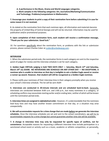**d. A performance in the Music, Drama and World Languages categories. e. Work samples in the following categories: Art, Journalism/Marketing/Communication and Technology. Problems/computations in Mathematics.** 

**7. Encourage your students to print a copy of their nomination form before submitting it in case for some reason it is not received.** 

8. As stated on the nomination form that each nominee signs, all information and materials become the property of United Way of Central Georgia and will not be returned. Information may be used for publication and/or promotional purposes.

# **9. Upon completion of their nomination form, each student will receive a confirmation message, "Thank you for your submission. Good luck."**

10. For questions specifically about the nomination form, or problems with the link or submission process, please contact Charlee Coker at [ccoker@unitedwaycg.com](mailto:ccoker@unitedwaycg.com) .

# **INTERVIEW**

1. When the submission period ends, the nomination forms in each category are sent to the respective panel of judges for review and the interview schedule is set for each category.

**2. Golden Eagle VIRTUAL judging is held TWO DAYS ONLY — Saturday, March 12th and Saturday, March 19 th via ZOOM. NO INTERVIEWS ARE SCHEDULE ON ANY OTHER DAY — NO EXCEPTIONS. A nominee who is unable to interview on that day is ineligible to win a Golden Eagle award or receive a runner-up award. However, that student will still be recognized as a Golden Eagle nominee.** 

3. Please notify your nominees of their interview time in their category promptly when you receive your school's interview schedule. The list will be sent ASAP.

**4. Interviews are conducted in 20-minute intervals and are scheduled back-to-back.** Generally, interviews are conducted between 8:00 a.m. and 2:00 p.m., but many nominees in a category, or scheduling conflicts may necessitate starting earlier and/or ending later, neither of which will be known until the nomination period ends.

**5. Interview times are assigned in alphabetical order**. However, it's understandable that the nominees lead busy lives and may have another known commitment on that day, or a situation may arise unexpectedly.

**6. We will accommodate requests for a time change that are made before we generate the interview schedules.** Once the interview schedules are set and sent to the school coordinators, we will try to accommodate requests for a time change but cannot guarantee another time slot will be available.

**7. A change in interview time may only be requested for specific types of conflicts, not for convenience**. Acceptable reasons for requesting a different interview time include participation in a sanctioned school event or activity such as a music, academic or athletic competition, or personally,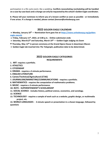participation in a life cycle event, like a wedding. **Conflicts necessitating rescheduling will be handled on a case-by-case basis and a change can only be requested by the school's Golden Eagle coordinator.** 

**8. Please tell your nominees to inform you of a known conflict as soon as possible - or immediately if one arises. If a change is needed, please contact jhenson@unitedwaycg.com**

# **2022 GOLDEN EAGLE CALENDAR**

• **Monday, January 10th — Nomination form goes live at [https://www.unitedwaycg.org/golden](https://www.unitedwaycg.org/golden-eagle-awards)[eagle-awards](https://www.unitedwaycg.org/golden-eagle-awards)**

- • **Friday, February 11th, 2022, at 5:00 p.m. - Online submission ends**
- • **Saturday, March12th and Saturday, March 19 th — Golden Eagle Judging via Zoom**
- **• Thursday, May 12th in person ceremony at the Grand Opera House in downtown Macon**
- • **Golden Eagle tab inserted into** *The Telegraph,* **publication date to be determined.**

# **2022 GOLDEN EAGLE CATEGORIES REQUIREMENTS**

- **1. ART- requires a portfolio.**
- **2. ATHLETICS**
- **3. CITIZENSHIP**
- **4. DRAMA - requires a 3-minute performance.**
- **5. ENGLISH LITERATURE**
- **6. Career/Technical/Agricultural (CTAE)**
- **7. JOURNALISM/MARKETING/COMMUNICATIONS - requires a portfolio.**
- **8. MATHEMATICS - requires the computation of mathematics problems.**
- **9. MUSIC - requires a 3-minute performance.**
- **10. ROTC - SUPERINTENDENT'S SCHOLARSHIP**
- **11. SOCIAL SCIENCE - includes history, political science, economics, and sociology.**
- **12. SCIENCE**
- **13. TECHNOLOGY - requires a sample of work such as a website, graphic design, or multimedia project, etc.**
- **14. WORLD LANGUAGES - 2-minute speech or presentation in a chosen language, followed by questions**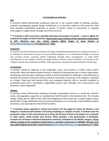# **CATEGORIES & CRITERIA**

#### **ART**

A nominee should demonstrate excellence using his or her creative ability in drawing, painting, sculpture, photography, graphic design, architecture, or in any other medium in the visual arts. May have provided outstanding leadership or service in his/her school or community, or inspired, encouraged, or taught others through use of the visual arts.

**\*\* A nominee in ART must have a portfolio with three (3) samples of artwork — print or digital, for review by the judges on Zoom interview. Please inform your nominee of this mandatory requirement in ART. Nominee may also submit artwork digital images to JoLee Henson at [jhenson@unitedwaycg.com](mailto:jhenson@unitedwaycg.com) by February 21st, 2022.**

# **ATHLETICS**

A nominee should demonstrate excellence through outstanding performance in a physical activity, in an individual or team sport, as part of a school athletic program, or in a recreational setting. A nominee may provide service, coaching and/or leadership through team management, or make other contributions to the welfare of others through athletic activities, talent and effort. A nominee in this category should have exhibited unselfish, enduring service, exceptional sportsmanship and fair play.

# **CITIZENSHIP**

A nominee should be cognizant of the challenges, issues and concerns in his/her school and/or community. May have demonstrated interest or passion by volunteering with a service organization, developing a special project, working to resolve a communal problem or challenge, or devoting time to activities that improve and enrich his/her school or community. A nominee in this category is regarded as a leader. May have held elected office and employed academic skills or worked creatively to accomplish goals and is considered a dependable person who embodies civic consciousness and possesses a spirit of goodwill.

#### **DRAMA**

A nominee should demonstrate excellence through outstanding service as a performer, director, writer, choreographer, organizer or crew/technical staff member in the theatrical arts. This includes acting, singing, dance, video or film. May have designed or constructed sets, created original scripts, performed on stage, aided with school or community projects, or in some way, inspired fellow students and others, and used talent for the benefit of others.

**\*\* A nominee whose specialty is acting must perform for the judges for three (3) minutes. A set designer or technical staff member must bring renderings or samples of work. A nominee who has produced a video or film must present up to three (3) minutes of work to the judges on a computer or other device, which he/she must furnish. When possible, a live performance is preferable. Vocalists not involved in theatrical productions should be nominated in the MUSIC category. Please inform nominee of the mandatory performance or portfolio requirement in DRAMA. Nominee may also submit digital visual aids to JoLee Henson at [jhenson@unitedwaycg.com](mailto:jhenson@unitedwaycg.com) by February 21st, 2022.**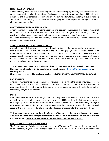#### **ENGLISH AND LITERATURE**

A nominee may have provided outstanding service and leadership by initiating activities related to a greater appreciation and understanding of English and literature. May have employed skills to benefit a segment of his/her school and/or community. This can include tutoring, fostering a love of reading and command of the English language, or encouraging individual expression through written or electronic communication.

# **CAREER/TECHNICAL/AGRICURTURAL (CTAE)**

A nominee may have provided outstanding service and leadership in industrial, business or vocational education. This effort may have involved, but is not limited to: agriculture, business, computing, construction, healthcare, marketing, family and consumer science, or trade & industrial education. Practical application, individually, or through career or service organizations that led or inspired others, is important.

# **JOURNALISM/MARKETING/COMMUNICATIONS**

A nominee should demonstrate excellence through writing, editing, news writing or reporting, or layout/design for student publications such as the school newspaper, yearbook, literary magazine, or other journalistic outlets. In the community, contributions can include print or electronic media projects that benefit religious or civic groups or community organizations. A nominee must have a record of accomplishment for the benefit of his/her school or community which may incorporate marketing and communications components.

# **\*\* A nominee must present a portfolio with three (3) samples of work for review by the judges. Nominee may also submit digital visual aids to JoLee Henson at [jhenson@unitedwaycg.com](mailto:jhenson@unitedwaycg.com) by February 21st, 2022.**

**Please inform nominee of this mandatory requirement in JOURNALISM/MARKETING/COMMUNICATIONS.**

# **MATHEMATICS**

A nominee may demonstrate excellence by providing or contributing mathematical knowledge through individual or group research, or involvement in a project, program or initiative; by encouraging and promoting interest in mathematics; tutoring; or using computer science to benefit the school or community, and/or to help others.

#### **MUSIC**

A nominee must perform for the judges, demonstrating musical excellence in instrumental or vocal music. May have used talent, knowledge, and performance skill for the benefit of others, and may have encouraged participation in and appreciation for music in school, or in the community through a religious or civic organization. A nominee may have been the creative or inspiring force in a musical group or the originator or leader of a music-related project or program for the benefit of others.

**\*\* A nominee must perform for the judges for three (3) minutes - either vocal or instrumental music. A vocalist who requires accompaniment must provide it. An instrumentalist must furnish his/her own instrument. Please inform nominee of this mandatory requirement in MUSIC.**

#### **ROTC - SUPERINTENDENT'S SCHOLARSHIP**

The Superintendent's Scholarship is open to any active ROTC student. The nominee is required to write an essay detailing his/her personal traits and achievements in high school. These would include but not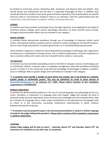be limited to community service, leadership skills, teamwork, and physical skills and abilities. They should choose one achievement and tell why it is especially meaningful to them. In addition, they should describe their academic and career goals and future aspirations They should explain any specific financial needs or circumstances related to them as an individual, with the understanding that this scholarship is awarded based on *academic, athletic, and leadership merit***.**

#### **SCIENCE**

A nominee may have provided outstanding service through ingenuity, or by applying the principals of chemistry, physics, biology, earth science, physiology, electronics, or other scientific areas of study. Ecological and preservation efforts also are included in this category.

# **SOCIAL SCIENCE**

A nominee should demonstrate excellence through use of knowledge of American and/or world history, international relations, political science, economics and/or sociology for the benefit of others. Service may include participation in student government, or in local/state/federal government.

Those activities, programs or initiatives may include political campaigns; fundraising; voter registration, and advocacy; or volunteerism through service, civic or political organizations. Of prime importance is how a nominee utilizes skill, talent and time to benefit his/her school or community.

# **TECHNOLOGY**

A nominee may have provided outstanding service in the field of computer science or technology such as multimedia, robotics, computer repair, or database management. May have provided outstanding service in school or in the community using skill and knowledge of technology to address a problem, issue or challenge. Web or graphic design and multimedia are included in this category.

**\*\* A nominee must provide a sample of work which may include, but is not limited to a website, graphic design or multimedia project. This may be submitted via email to JoLee Henson at [jhenson@unitedwaycg.com](mailto:jhenson@unitedwaycg.com) by February 21st, 2022. Please inform nominee of this mandatory requirement in TECHNOLOGY.**

#### **WORLD LANGUAGES**

A nominee has demonstrated excellence in the use of a second language and outstanding service as a writer, translator, or interpreter in a language other than English. Judges will consider the level of advanced study, but most importantly, how a nominee uses knowledge and skill to benefit others. May be a member of a language club or made unique contributions to the advancement of language study at school or in the community, promoting multicultural understanding or better relations between/among diverse groups.

# **\*\* A nominee must be prepared to give a two (2) minute presentation or speech in his/her language of study for the judgesfollowed by questions. Please inform nominee of this mandatory requirement in WORLD LANGUAGES.**

# **JUDGING**

**Golden Eagle judging will be held on Zoom — Saturday, March 12th and Saturday, March 19 th . No interviews are scheduled on any other day, no exceptions.**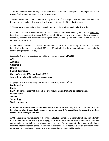1. An independent panel of judges is selected for each of the 14 categories. The judges select the Golden Eagle winner and runner-up in their category.

2. When the nomination period ends on Friday, February  $11<sup>th</sup>$  at 5:00 pm, the submissions will be sorted by category and an interview schedule will be created for each of the 14 categories.

#### **3. The order of nominee interviews in each category is determined by alphabetical order.**

4. School coordinators will be notified of their nominees' interview times by email ASAP. Generally, interviews are conducted between 8:00 a.m. and 2:00 p.m., but many nominees in a category or scheduling conflicts may necessitate starting earlier and/or ending later. This won't be known until the nomination period ends.

5. The judges individually review the nomination forms in their category before collectively interviewing the nominees on March  $12<sup>th</sup>$  and  $19<sup>th</sup>$  and selecting the winner and runner-up. Judging is split by categories for each day.

Judging for the following categories will be on **Saturday, March 12th, 2022:**

**Art Athletics Citizenship Drama English Literature Career/Technical/Agricultural (CTAE) Journalism/Marketing/Communications**

Judging for the following categories will be on **Saturday, March 19 th, 2022: Mathematics Music ROTC - Superintendent's Scholarship (Interview date and time to be determined.) Social Science Science Technology World Languages**

**6. A nominee who is unable to interview with the judges on Saturday, March 12th or March 19 th is ineligible to win a Golden Eagle award or runner-up award. No exceptions. However, the student remains a Golden Eagle nominee.** 

**7. When apprising your students of their Golden Eagle nomination, ask them to tell you immediately of a known conflict on the day of judging, or to notify you immediately, if one arises.** We will accommodate requests for a time change that are made before we generate the interview schedules. Once the interview schedules are set and sent to the school coordinators, we will try to accommodate requests for a time change but cannot guarantee another time slot will be available.